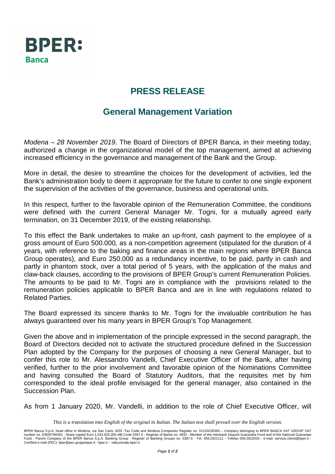

## **PRESS RELEASE**

## **General Management Variation**

Modena – 28 November 2019. The Board of Directors of BPER Banca, in their meeting today, authorized a change in the organizational model of the top management, aimed at achieving increased efficiency in the governance and management of the Bank and the Group.

More in detail, the desire to streamline the choices for the development of activities, led the Bank's administration body to deem it appropriate for the future to confer to one single exponent the supervision of the activities of the governance, business and operational units.

In this respect, further to the favorable opinion of the Remuneration Committee, the conditions were defined with the current General Manager Mr. Togni, for a mutually agreed early termination, on 31 December 2019, of the existing relationship.

To this effect the Bank undertakes to make an up-front, cash payment to the employee of a gross amount of Euro 500.000, as a non-competition agreement (stipulated for the duration of 4 years, with reference to the baking and finance areas in the main regions where BPER Banca Group operates), and Euro 250.000 as a redundancy incentive, to be paid, partly in cash and partly in phantom stock, over a total period of 5 years, with the application of the malus and claw-back clauses, according to the provisions of BPER Group's current Remuneration Policies. The amounts to be paid to Mr. Togni are in compliance with the provisions related to the remuneration policies applicable to BPER Banca and are in line with regulations related to Related Parties.

The Board expressed its sincere thanks to Mr. Togni for the invaluable contribution he has always guaranteed over his many years in BPER Group's Top Management.

Given the above and in implementation of the principle expressed in the second paragraph, the Board of Directors decided not to activate the structured procedure defined in the Succession Plan adopted by the Company for the purposes of choosing a new General Manager, but to confer this role to Mr. Alessandro Vandelli, Chief Executive Officer of the Bank, after having verified, further to the prior involvement and favorable opinion of the Nominations Committee and having consulted the Board of Statutory Auditors, that the requisites met by him corresponded to the ideal profile envisaged for the general manager, also contained in the Succession Plan.

As from 1 January 2020, Mr. Vandelli, in addition to the role of Chief Executive Officer, will

*This is a translation into English of the original in Italian. The Italian text shall prevail over the English version.*

BPER Banca S.p.A, head office in Modena, via San Carlo, 8/20 -Tax Code and Modena Companies Register no. 01153230360 – Company belonging to BPER BANCA VAT GROUP VAT<br>number no. 03830780361 - Share capital Euro 1,542,925,3